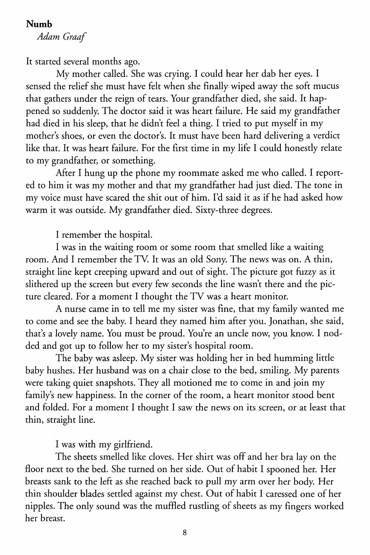## **Numb**

*Adam Graaf* 

It started several months ago.

My mother called. She was crying. I could hear her dab her eyes. I sensed the relief she must have felt when she finally wiped away the soft mucus that gathers under the reign of tears. Your grandfather died, she said. It happened so suddenly. The doctor said it was heart failure. He said my grandfather had died in his sleep, that he didn't feel a thing. I tried to put myself in my mother's shoes, or even the doctor's. It must have been hard delivering a verdict like that. It was heart failure. For the first time in my life I could honestly relate to my grandfather, or something.

After I hung up the phone my roommate asked me who called. I reported to him it was my mother and that my grandfather had just died. The tone in my voice must have scared the shit out of him. I'd said it as if he had asked how warm it was outside. My grandfather died. Sixty-three degrees.

I remember the hospital.

I was in the waiting room or some room that smelled like a waiting room. And I remember the TV. It was an old Sony. The news was on. A thin, straight line kept creeping upward and out of sight. The picture got fuzzy as it slithered up the screen but every few seconds the line wasn't there and the picture cleared. For a moment I thought the TV was a heart monitor.

A nurse came in to tell me my sister was fine, that my family wanted me to come and see the baby. I heard they named him after you. Jonathan, she said, that's a lovely name. You must be proud. You're an uncle now, you know. I nodded and got up to follow her to my sister's hospital room.

The baby was asleep. My sister was holding her in bed humming little baby hushes. Her husband was on a chair close to the bed, smiling. My parents were taking quiet snapshots. They all motioned me to come in and join my family's new happiness. In the corner of the room, a heart monitor stood bent and folded. For a moment I thought I saw the news on its screen, or at least that thin, straight line.

I was with my girlfriend.

The sheets smelled like cloves. Her shirt was off and her bra lay on the floor next to the bed. She turned on her side. Out of habit I spooned her. Her breasts sank to the left as she reached back to pull my arm over her body. Her thin shoulder blades settled against my chest. Out of habit I caressed one of her nipples. The only sound was the muffled rustling of sheets as my fingers worked her breast.